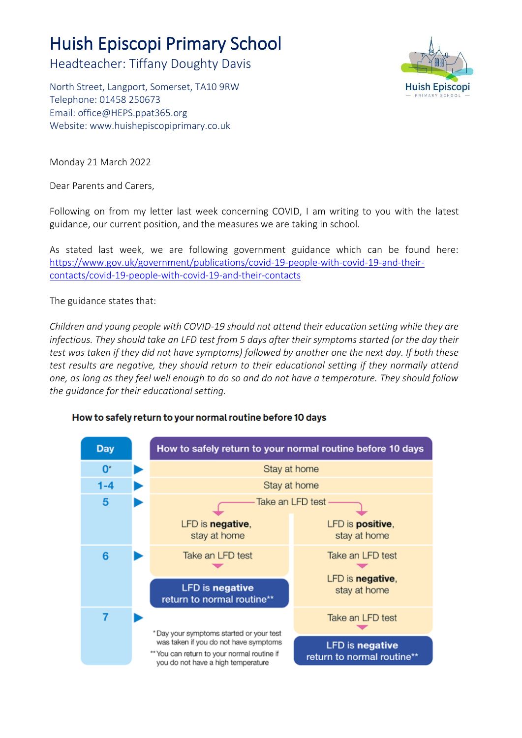## Huish Episcopi Primary School

Headteacher: Tiffany Doughty Davis

North Street, Langport, Somerset, TA10 9RW Telephone: 01458 250673 Email: [office@HEPS.ppat365.org](mailto:office@HEPS.ppat365.org) Website: [www.huishepiscopiprimary.co.uk](http://www.huishepiscopiprimary.co.uk/)



Monday 21 March 2022

Dear Parents and Carers,

Following on from my letter last week concerning COVID, I am writing to you with the latest guidance, our current position, and the measures we are taking in school.

As stated last week, we are following government guidance which can be found here: [https://www.gov.uk/government/publications/covid-19-people-with-covid-19-and-their](https://www.gov.uk/government/publications/covid-19-people-with-covid-19-and-their-contacts/covid-19-people-with-covid-19-and-their-contacts)[contacts/covid-19-people-with-covid-19-and-their-contacts](https://www.gov.uk/government/publications/covid-19-people-with-covid-19-and-their-contacts/covid-19-people-with-covid-19-and-their-contacts)

The guidance states that:

*Children and young people with COVID-19 should not attend their education setting while they are infectious. They should take an LFD test from 5 days after their symptoms started (or the day their test was taken if they did not have symptoms) followed by another one the next day. If both these test results are negative, they should return to their educational setting if they normally attend one, as long as they feel well enough to do so and do not have a temperature. They should follow the guidance for their educational setting.*



## How to safely return to your normal routine before 10 days